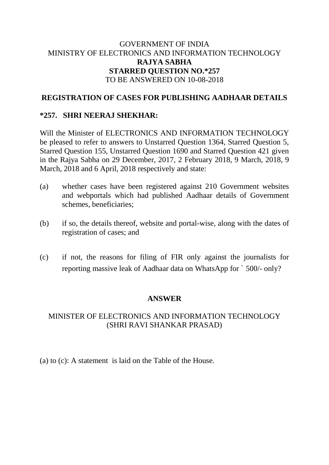# GOVERNMENT OF INDIA MINISTRY OF ELECTRONICS AND INFORMATION TECHNOLOGY **RAJYA SABHA STARRED QUESTION NO.\*257** TO BE ANSWERED ON 10-08-2018

## **REGISTRATION OF CASES FOR PUBLISHING AADHAAR DETAILS**

# **\*257. SHRI NEERAJ SHEKHAR:**

Will the Minister of ELECTRONICS AND INFORMATION TECHNOLOGY be pleased to refer to answers to Unstarred Question 1364, Starred Question 5, Starred Question 155, Unstarred Question 1690 and Starred Question 421 given in the Rajya Sabha on 29 December, 2017, 2 February 2018, 9 March, 2018, 9 March, 2018 and 6 April, 2018 respectively and state:

- (a) whether cases have been registered against 210 Government websites and webportals which had published Aadhaar details of Government schemes, beneficiaries;
- (b) if so, the details thereof, website and portal-wise, along with the dates of registration of cases; and
- (c) if not, the reasons for filing of FIR only against the journalists for reporting massive leak of Aadhaar data on WhatsApp for ` 500/- only?

### **ANSWER**

# MINISTER OF ELECTRONICS AND INFORMATION TECHNOLOGY (SHRI RAVI SHANKAR PRASAD)

(a) to (c): A statement is laid on the Table of the House.